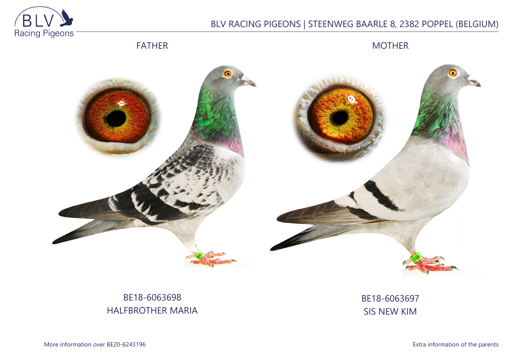

## BLV RACING PIGEONS | STEENWEG BAARLE 8, 2382 POPPEL (BELGIUM)

FATHER

MOTHER



## BE18-6063698 HALFBROTHER MARIA

BE18-6063697 SIS NEW KIM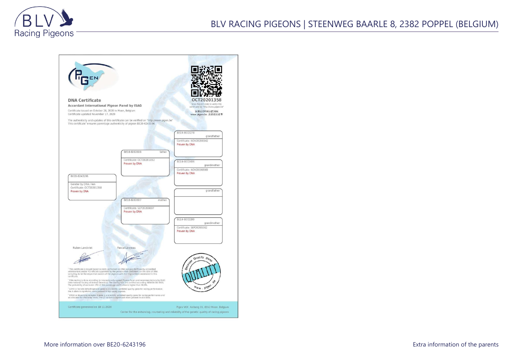

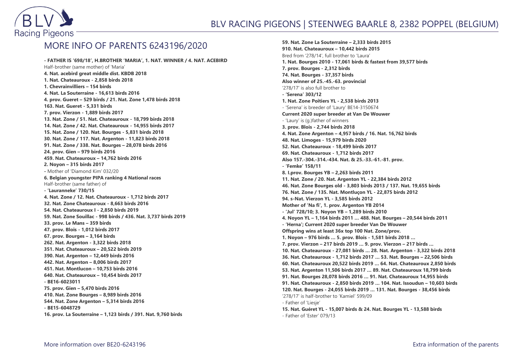

## MORE INFO OF PARENTS 6243196/2020

**- FATHER IS '698/18', H.BROTHER 'MARIA', 1. NAT. WINNER / 4. NAT. ACEBIRD** Half-brother (same mother) of 'Maria' **4. Nat. acebird great middle dist. KBDB 2018 1. Nat. Chateauroux - 2,858 birds 2018 1. Chevrainvilliers – 154 birds 4. Nat. La Souterraine - 16,613 birds 2016 4. prov. Gueret – 529 birds / 21. Nat. Zone 1,478 birds 2018 163. Nat. Gueret - 5,331 birds 7. prov. Vierzon - 1,889 birds 2017 13. Nat. Zone / 51. Nat. Chateauroux - 18,799 birds 2018 14. Nat. Zone / 42. Nat. Chateauroux - 14,955 birds 2017 15. Nat. Zone / 120. Nat. Bourges - 5,831 birds 2018 30. Nat. Zone / 117. Nat. Argenton - 11,823 birds 2018 91. Nat. Zone / 338. Nat. Bourges – 28,078 birds 2016 24. prov. Gien – 979 birds 2016 459. Nat. Chateauroux – 14,762 birds 2016 2. Noyon – 315 birds 2017 -** Mother of 'Diamond Kim' 032/20 **6. Belgian youngster PIPA ranking 4 National races** Half-brother (same father) of **- 'Lauranneke' 730/15 4. Nat. Zone / 12. Nat. Chateauroux - 1,712 birds 2017 32. Nat. Zone Chateauroux - 8,663 birds 2016 54. Nat. Chateauroux I - 2,850 birds 2019 59. Nat. Zone Souillac - 998 birds / 436. Nat. 3,737 birds 2019 33. prov. Le Mans – 359 birds 47. prov. Blois - 1,012 birds 2017 67. prov. Bourges – 3,164 birds 262. Nat. Argenton - 3,322 birds 2018 351. Nat. Chateauroux – 20,522 birds 2019 390. Nat. Argenton – 12,449 birds 2016 442. Nat. Argenton – 8,006 birds 2017 451. Nat. Montlucon – 10,753 birds 2016 640. Nat. Chateauroux – 10,454 birds 2017 - BE16-6023011 75. prov. Gien – 5,470 birds 2016 410. Nat. Zone Bourges – 8,989 birds 2016 544. Nat. Zone Argenton – 5,314 birds 2016 - BE15-6048729 16. prov. La Souterraine – 1,123 birds / 391. Nat. 9,760 birds**

**59. Nat. Zone La Souterraine – 2,333 birds 2015 910. Nat. Chateauroux – 10,442 birds 2015** Bred from '278/14', full brother to 'Laura' **1. Nat. Bourges 2010 - 17,061 birds & fastest from 39,577 birds 7. prov. Bourges - 2,312 birds 74. Nat. Bourges - 37,357 birds Also winner of 25.-45.-63. provincial** '278/17' is also full brother to **- 'Serena' 303/12 1. Nat. Zone Poitiers YL - 2,538 birds 2013** - 'Serena' is breeder of 'Laury' BE14-3150674 **Current 2020 super breeder at Van De Wouwer** - 'Laury' is (g.)father of winners **3. prov. Blois - 2,744 birds 2018 4. Nat. Zone Argenton – 4,957 birds / 16. Nat. 16,762 birds 48. Nat. Limoges - 15,979 birds 2020 52. Nat. Chateauroux - 18,499 birds 2017 69. Nat. Chateauroux - 1,712 birds 2017 Also 157.-304.-314.-434. Nat. & 25.-33.-61.-81. prov. - 'Femke' 158/11 8. I.prov. Bourges YB – 2,263 birds 2011 11. Nat. Zone / 20. Nat. Argenton YL - 22,384 birds 2012 46. Nat. Zone Bourges old - 3,803 birds 2013 / 137. Nat. 19,655 birds 76. Nat. Zone / 135. Nat. Montluçon YL - 22,875 birds 2012 94. s-Nat. Vierzon YL - 3,585 birds 2012 Mother of 'Na fi', 1. prov. Argenton YB 2014 - 'Jul' 728/10; 3. Noyon YB – 1,289 birds 2010 4. Noyon YL – 1,164 birds 2011 … 488. Nat. Bourges – 20,544 birds 2011 - 'Herna'; Current 2020 super breeder Van De Wouwer Offspring wins at least 36x top 100 Nat. Zone/prov. 1. Noyon – 976 birds … 5. prov. Blois - 1,581 birds 2018 … 7. prov. Vierzon – 217 birds 2019 … 9. prov. Vierzon – 217 birds … 10. Nat. Chateauroux - 27,081 birds … 28. Nat. Argenton - 3,322 birds 2018 36. Nat. Chateauroux - 1,712 birds 2017 … 53. Nat. Bourges – 22,506 birds 60. Nat. Chateauroux 20,522 birds 2019 … 64. Nat. Chateauroux 2,850 birds 53. Nat. Argenton 11,506 birds 2017 … 89. Nat. Chateauroux 18,799 birds 91. Nat. Bourges 28,078 birds 2016 … 91. Nat. Chateauroux 14,955 birds 91. Nat. Chateauroux - 2,850 birds 2019 … 104. Nat. Issoudun – 10,603 birds 120. Nat. Bourges - 24,055 birds 2019 … 131. Nat. Bourges - 38,456 birds** '278/17' is half-brother to 'Kamiel' 599/09 - Father of 'Liesje' **15. Nat. Guéret YL - 15,007 birds & 24. Nat. Bourges YL - 13,588 birds**

- Father of 'Ester' 079/13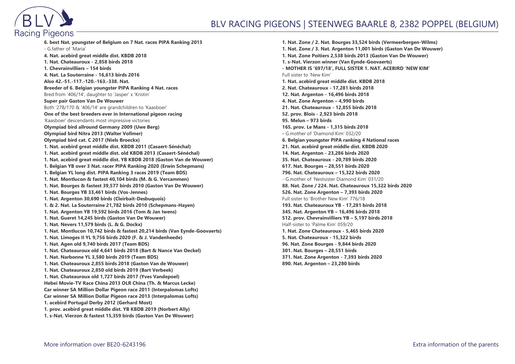

## BLV RACING PIGEONS | STEENWEG BAARLE 8, 2382 POPPEL (BELGIUM)

**6. best Nat. youngster of Belgium on 7 Nat. races PIPA Ranking 2013** - G.father of 'Maria' **4. Nat. acebird great middle dist. KBDB 2018 1. Nat. Chateauroux - 2,858 birds 2018 1. Chevrainvilliers – 154 birds 4. Nat. La Souterraine - 16,613 birds 2016 Also 42.-51.-117.-120.-163.-338. Nat. Breeder of 6. Belgian youngster PIPA Ranking 4 Nat. races** Bred from '406/14', daughter to 'Jasper' x 'Kristin' **Super pair Gaston Van De Wouwer** Both '278/170 & '406/14' are grandchildren to 'Kaasboer' **One of the best breeders ever in International pigeon racing** 'Kaasboer' descendants most impressive victories **Olympiad bird allround Germany 2009 (Uwe Berg) Olympiad bird Nitra 2013 (Walter Vollmer) Olympiad bird cat. C 2017 (Niels Broeckx) 1. Nat. acebird great middle dist. KBDB 2011 (Casaert-Sénéchal) 1. Nat. acebird great middle dist. old KBDB 2013 (Casaert-Sénéchal) 1. Nat. acebird great middle dist. YB KBDB 2018 (Gaston Van de Wouwer) 1. Belgian YB over 3 Nat. racer PIPA Ranking 2020 (Erwin Schepmans) 1. Belgian YL long dist. PIPA Ranking 3 races 2019 (Team BDS) 1. Nat. Montlucon & fastest 40,104 birds (M. & G. Vercammen) 1. Nat. Bourges & fastest 39,577 birds 2010 (Gaston Van De Wouwer) 1. Nat. Bourges YB 33,461 birds (Vos-Jennes) 1. Nat. Argenton 30,690 birds (Cleirbait-Desbuquois) 1. & 2. Nat. La Souterraine 21,782 birds 2010 (Schepmans-Hayen) 1. Nat. Argenton YB 19,592 birds 2016 (Tom & Jan Iwens) 1. Nat. Gueret 14,245 birds (Gaston Van De Wouwer) 1. Nat. Nevers 11,579 birds (L. & G. Dockx) 1. Nat. Montlucon 10,742 birds & fastest 20,214 birds (Van Eynde-Goovaerts) 1. Nat. Limoges II YL 9,756 birds 2020 (F. & J. Vandenheede) 1. Nat. Agen old 9,740 birds 2017 (Team BDS) 1. Nat. Chateauroux old 4,641 birds 2018 (Bart & Nance Van Oeckel) 1. Nat. Narbonne YL 3,580 birds 2019 (Team BDS) 1. Nat. Chateauroux 2,855 birds 2018 (Gaston Van de Wouwer) 1. Nat. Chateauroux 2,850 old birds 2019 (Bart Verbeek) 1. Nat. Chateauroux old 1,727 birds 2017 (Yves Vandepoel) Hebei Movie-TV Race China 2013 OLR China (Th. & Marcus Lecke) Car winner SA Million Dollar Pigeon race 2011 (Interpalomas Lofts) Car winner SA Million Dollar Pigeon race 2013 (Interpalomas Lofts) 1. acebird Portugal Derby 2012 (Gerhard Most) 1. prov. acebird great middle dist. YB KBDB 2019 (Norbert Ally) 1. s-Nat. Vierzon & fastest 15,359 birds (Gaston Van De Wouwer)**

**1. Nat. Zone / 2. Nat. Bourges 33,524 birds (Vermeerbergen-Wilms) 1. Nat. Zone / 3. Nat. Argenton 11,001 birds (Gaston Van De Wouwer) 1. Nat. Zone Poitiers 2,538 birds 2013 (Gaston Van De Wouwer) 1. s-Nat. Vierzon winner (Van Eynde-Goovaerts) - MOTHER IS '697/18', FULL SISTER 1. NAT. ACEBIRD 'NEW KIM'** Full sister to 'New Kim' **1. Nat. acebird great middle dist. KBDB 2018 2. Nat. Chateauroux - 17,281 birds 2018 12. Nat. Argenton - 16,496 birds 2018 4. Nat. Zone Argenton – 4,990 birds 21. Nat. Chateauroux - 12,855 birds 2018 52. prov. Blois - 2,923 birds 2018 95. Melun – 973 birds 165. prov. Le Mans - 1,315 birds 2018 -** G.mother of 'Diamond Kim' 032/20 **6. Belgian youngster PIPA ranking 4 National races 21. Nat. acebird great middle dist. KBDB 2020 14. Nat. Argenton - 23,286 birds 2020 35. Nat. Chateauroux - 20,789 birds 2020 617. Nat. Bourges – 28,551 birds 2020 796. Nat. Chateauroux – 15,322 birds 2020** - G.mother of 'Nestsister Diamond Kim' 031/20 **88. Nat. Zone / 224. Nat. Chateauroux 15,322 birds 2020 526. Nat. Zone Argenton – 7,393 birds 2020** Full sister to 'Brother New Kim' 776/18 **193. Nat. Chateauroux YB - 17,281 birds 2018 345. Nat. Argenton YB – 16,496 birds 2018 512. prov. Chevrainvilliers YB – 5,197 birds 2018** Half-sister to 'Palme Kim' 059/20 **1. Nat. Zone Chateauroux - 5,465 birds 2020 5. Nat. Chateauroux - 15,322 birds 96. Nat. Zone Bourges - 9,844 birds 2020 301. Nat. Bourges – 28,551 birds 371. Nat. Zone Argenton - 7,393 birds 2020 890. Nat. Argenton – 23,280 birds**